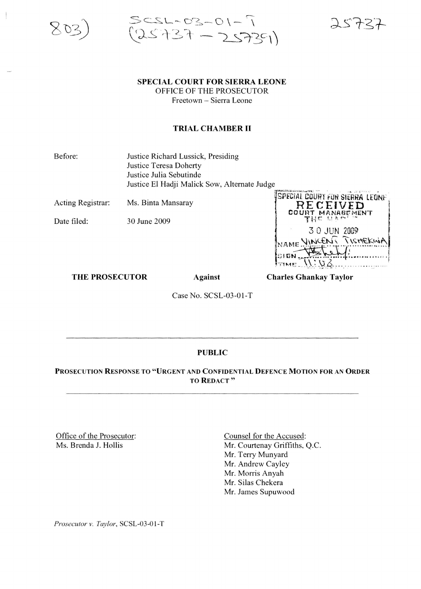



# SPECIAL COURT FOR SIERRA LEONE

OFFICE OF THE PROSECUTOR Freetown - Sierra Leone

## TRIAL CHAMBER II

Before: Justice Richard Lussick, Presiding Justice Teresa Doherty Justice Julia Sebutinde Justice EI Hadji Malick Sow, Alternate Judge

Acting Registrar: Ms. Binta Mansaray

Date filed: 30 June 2009

|      |             | SPECIAL COURT FUR SIERRA LEONE |
|------|-------------|--------------------------------|
|      | RECEIVED    | COURT MANAGEMENT               |
|      | THE UAM     |                                |
|      | 30 JUN 2009 |                                |
|      |             | NAME VINCENT TISHEKWA          |
| SIGN |             |                                |
|      |             |                                |

THE PROSECUTOR Against

Charles Ghankay Taylor

Case No. SCSL-03-01-T

#### PUBLIC

### PROSECUTION RESPONSE TO "URGENT AND CONFIDENTIAL DEFENCE MOTION FOR AN ORDER TO REDACT"

Office of the Prosecutor: Ms. Brenda J. Hollis

Counsel for the Accused: Mr. Courtenay Griffiths, Q.C. Mr. Terry Munyard Mr. Andrew Cayley Mr. Morris Anyah Mr. Silas Chekera Mr. James Supuwood

*Prosecutor v. Taylor,* SCSL-03-0 I-T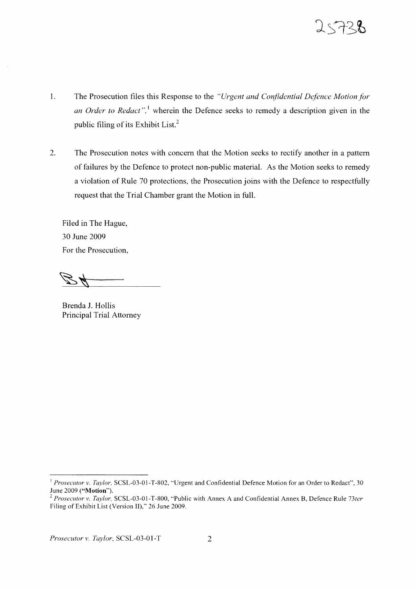

- 1. The Prosecution files this Response to the *"Urgent and Confidential Defence Motion for an Order to Redact*",<sup>1</sup> wherein the Defence seeks to remedy a description given in the public filing of its Exhibit List.<sup>2</sup>
- 2. The Prosecution notes with concern that the Motion seeks to rectify another in a pattern of failures by the Defence to protect non-public material. As the Motion seeks to remedy a violation of Rule 70 protections, the Prosecution joins with the Defence to respectfully request that the Trial Chamber grant the Motion in full.

Filed in The Hague, 30 June 2009 For the Prosecution,

Brenda J. Hollis Principal Trial Attorney

<sup>&</sup>lt;sup>1</sup> Prosecutor v. Taylor, SCSL-03-01-T-802, "Urgent and Confidential Defence Motion for an Order to Redact", 30 June 2009 ("Motion").

<sup>C</sup> *Prosecutor v. Taylor.* SCSL-03-0 I-T-800, "Public with Annex A and Confidential Annex S, Defence Rule *73ter* Filing of Exhibit List (Version II)," 26 June 2009.